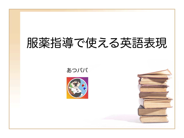# 服薬指導で使える英語表現

あつパパ

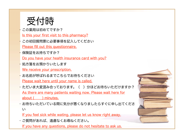# 受付時

- この薬局は初めてですか?
- Is this your first visit to this pharmacy?
- この初回質問票に必要事項を記入してください Please fill out this questionnaire.
- 保険証をお持ちですか? Do you have your health insurance card with you?
- 処方箋をお預かりいたします We receive your prescription.
- お名前が呼ばれるまでこちらでお待ちください Please wait here until your name is called.
- •ただいま大変混み合っております。( )分ほどお待ちいただけますか? As there are many patients waiting now. Please wait here for about ( ) minutes.
- お待ちいただいている間に気分が悪くなりましたらすぐに申し出てくださ い

If you feel sick while wating, please let us know right away.

• ご質問があれば、遠慮なくお尋ねください。

If you have any questions, please do not hesitate to ask us.

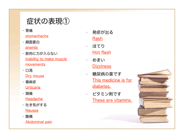# 症状の表現①

- 胃痛 stomachache
- 顔面蒼白 anemia
- 筋肉に力が入らない Inability to make muscle movements
- 口渇 Dry mouse
- 蕁麻疹 Urticaria
- 頭痛 **Headache**
- 吐き気がする **Nausea**
- 腹痛

Abdominal pain

- 発疹が出る Rash
- ほてり Hot flash
- めまい **Dizziness**
- 糖尿病の薬です This medicine is for diabetes.
- ビタミン剤です These are vitamins.

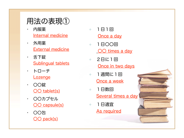# 用法の表現①

- 内服薬 Internal medicine
- 外用薬 External medicine
- 舌下錠 Sublingual tablets
- トローチ **Lozenge**
- 〇〇錠 〇〇 tablet(s)
- 〇〇カプセル 〇〇 capsule(s)
- 〇〇包 〇〇 pack(s)
- 1日1回 Once a day
- 1日〇〇回 〇〇 times a day
- 2日に1回 Once in two days
- 1週間に1回 Once a week
- 1日数回 Several times a day
- 1日適宜 As required

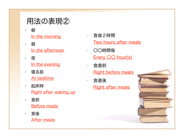## 用法の表現②

- 朝 In the morning
- 昼 In the afternoon
- 夜 In the evening
- 寝る前 At bedtime
- 起床時 Right after waking up
- 食前 Before meals
- 食後 After meals
- 食後2時間 Two hours after meals
- 〇〇時間毎 Every OO hour(s)
- 食直前 Right before meals
- 食直後 Right after meals

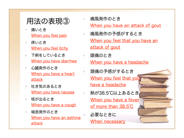#### 用法の表現③

- 痛いとき When you feel pain
- 痒いとき When you feel itchy
- 下痢をしているとき When you have diarrhea
- 心臓発作のとき When you have a heart attack
- 吐き気のあるとき When you have nausea
- 咳が出るとき When you have a cough
- 喘息発作のとき When you have an asthma attack

○ 痛風発作のとき When you have an attack of gout

- 痛風発作の予感がするとき When you feel that you have an attack of gout
- 頭痛のとき When you have a headache
- 頭痛の予感がするとき When you feel that you have a headache
- 熱が38.5℃以上あるとき When you have a fever of more than 38.5℃
- 必要なときに

When necessary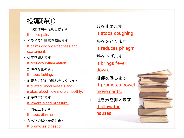## 投薬時①

- この薬は痛みを和らげます It eases pain.
- イライラや興奮を鎮めます It calms disconcertedness and excitement.
- 炎症を抑えます It reduces inflammation.
- かゆみを止めます It stops itching.
- 血管を広げ血の流れをよくします It dilated blood vessels and makes blood flow more smoothly.
- 血圧を下げます It lowers blood pressure.
- 下痢を止めます It stops diarrhea.
- 食べ物の消化を促します It promotes digestion.
- 咳を止めます It stops coughing.
- 痰ををとります It reduces phlegm.
- 熱を下げます It brings fever down.
- 排便を促します It promotes bowel movements.
- 吐き気を抑えます It alleviates

nausea.

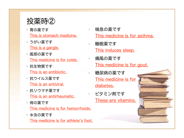#### 投薬時②

- 胃の薬です This is stomach medicine.
- うがい薬です This is a gargle.
- 風邪の薬です This medicine is for colds.
- 抗生物質です This is an antibiotic.
- 抗ウイルス薬です This is an antiviral.
- 抗リウマチ薬です This is an antirheumatic.
- 痔の薬です This medicine is for hemorrhoids.
- 水虫の薬です

This medicine is for athlete's foot.

- 喘息の薬です This medicine is for asthma. ○ 睡眠薬です This induces sleep.
- 痛風の薬です This medicine is for gout.
- 糖尿病の薬です This medicine is for diabetes.
- ビタミン剤です These are vitamins.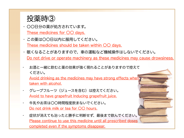

- 〇〇日分の薬が処方されています。 These medicines for  $OO$  days.
- この薬は〇〇日以内に服用してください。 These medicines should be taken within  $OO$  days.
- 眠くなることがありますので、車の運転など機械操作はしないでください。 Do not drive or operate machinery as these medicines may cause drowsiness.
- お酒と一緒に飲むと薬の効果が強く現れることがありますので控えて ください。 Avoid drinking as the medicines may have strong effects when taken with alcohol.
- グレープフルーツ(ジュースを含む)は控えてください。 Avoid to have grapefruit Inducing grapefruit juice.
- 牛乳やお茶は〇〇時間程度飲まないでください。 Do not drink milk or tea for 〇〇 hours.
- 症状が消えても治ったと勝手に判断せず、最後まで飲んでください。 Please continue to use this medicine until all prescribed doses completed even if the symptoms disappear.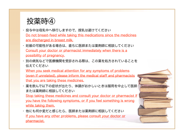投薬時④

- 投与中は母乳中へ移行しますので、授乳は避けてください Do not breast-feed while taking this medications since the medicines are discharged in breast milk.
- 妊娠の可能性がある場合は、直ちに医師または薬剤師に相談してください Consult your doctor or pharmacist immediately when there is a possibility of pregnancy.
- 別の病気などで医療機関を受診される際は、この薬を処方されていることを 伝えてください

When you seek medical attention for any symptoms of problems (even if unrelated), please inform the medical staff and pharmacists that you are taking these medicines.

• 薬を飲んで以下の症状が出たり、体調がおかしいときは服用を中止して医師 または薬剤師に相談してください

Stop taking these medicines and consult your doctor or pharmacist if you have the following symptoms, or if you feel something is wrong while taking them.

• 他にも何か変だと感じたら、医師または薬剤師に相談してください If you have any other problems, please consult your doctor or pharmacist.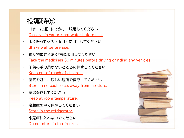#### 投薬時⑤

- (水・お湯)にとかして服用してください Dissolve in water / hot water before use.
- よく振ってから(服用・使用)してください Shake well before use.
- 乗り物に乗る30分前に服用してください Take the medicines 30 minutes before driving or riding any vehicles.
- 子供の手の届かないところに保管してください Keep out of reach of children.
- 湿気を避け、涼しい場所で保存してください Store in no cool place, away from moisture.
- 室温保存してください Keep at room temperature.
- 冷蔵庫の中で保存してください Store in the refrigerator.
- 冷蔵庫に入れないでください Do not store in the freezer.

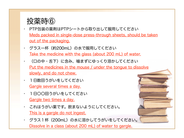#### 投薬時⑥

- PTP包装の薬剤はPTPシートから取り出して服用してください Meds packed in single-dose press-through sheets, should be taken out of the packaging.
- クラス一杯(約200mL)の水で服用してください Take the medicine with the glass (about 200 mL) of water.
	- (口の中・舌下)に含み、噛まずにゆっくり溶かしてください Put the medicines in the mouse / under the tongue to dissolve slowly, and do not chew.
	- 1日数回うがいをしてください Gargle several times a day.
- 1日〇〇回うがいをしてください Gargle two times a day.
- これはうがい薬です。飲まないようにしてください。 This is a gargle do not ingest.
	- グラス1杯 (200mL) の水に溶かしてうがいをしてください。 Dissolve in a class (about 200 mL) of water to gargle.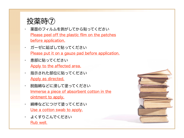#### 投薬時⑦

- 薬面のフィルムを剥がしてから貼ってください Please peel off the plastic film on the patches before application.
- ガーゼに延ばして貼ってください Please put it on a gauze pad before application.
- 患部に貼ってください Apply to the affected area.
	- 指示された部位に貼ってください Apply as directed.
	- 脱脂綿などに浸して塗ってください Immerse a piece of absorbent cotton in the ointment to apply.
	- 綿棒などにつけて塗ってください Use a cotton swab to apply.
	- よくすりこんでください Rub well.

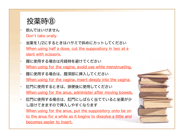#### 投薬時⑧

- 飲んではいけません Don't take orally.
- 坐薬を1/2にするときはハサミで斜めにカットしてください When using half a dose, cut the suppository in two at a slant with scissors.
- 膣に使用する場合は月経時を避けてください When using for the vagina, avoid use while menstruating.
- 膣に使用する場合は、膣深部に挿入してください When using for the vagina, insert deeply into the vagina.
- 肛門に使用するときは、排便後に使用してください When using for the anus, administer after moving bowels.
- 肛門に使用する場合は、肛門にしばらく当てていると坐薬が少 し溶けてきますので挿入しやすくなります When using for the anus, put the suppository onto be on to the anus for a while as it begins to dissolve a little and becomes easier to insert.

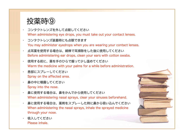投薬時⑨

- コンタクトレンズを外して点眼してください When administering eye drops, you must take out your contact lenses.
- コンタクトレンズ装着時にも点眼できます You may administer eyedrops when you are wearing your contact lenses.
- 点耳薬を使用する場合は、綿棒で耳掃除をした後に使用してください Before administering ear drops, clean your ears with cotton swabs.
- 使用する前に、薬を手のひらで握って少し温めてください Warm the medicine with your palms for a while before administration.
- 患部にスプレーしてください Spray on the affected area.
- 鼻の中に噴霧してください Spray into the nose.
- 鼻に使用する場合は、鼻をかんでから使用してください When administering nasal sprays, clear your sinuses beforehand.
- 鼻に使用する場合は、薬剤をスプレーした時に鼻から吸い込んでください When administering the nasal sprays, inhale the sprayed medicine through your nose.
- 吸入してください Please inhale.